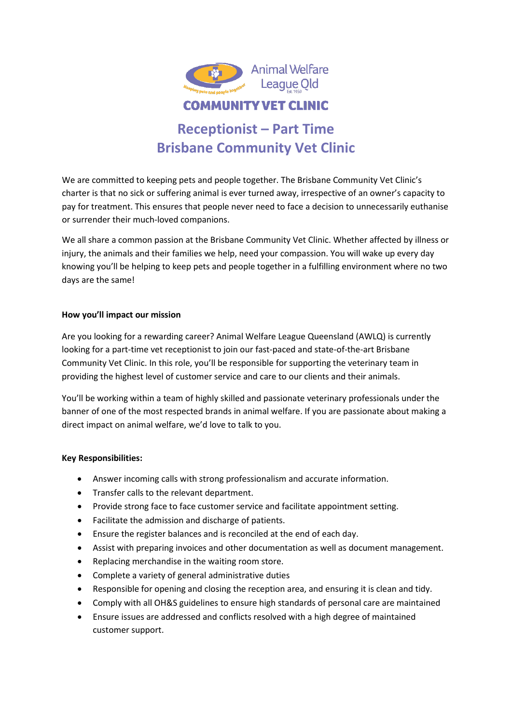

# **Receptionist – Part Time Brisbane Community Vet Clinic**

We are committed to keeping pets and people together. The Brisbane Community Vet Clinic's charter is that no sick or suffering animal is ever turned away, irrespective of an owner's capacity to pay for treatment. This ensures that people never need to face a decision to unnecessarily euthanise or surrender their much-loved companions.

We all share a common passion at the Brisbane Community Vet Clinic. Whether affected by illness or injury, the animals and their families we help, need your compassion. You will wake up every day knowing you'll be helping to keep pets and people together in a fulfilling environment where no two days are the same!

## **How you'll impact our mission**

Are you looking for a rewarding career? Animal Welfare League Queensland (AWLQ) is currently looking for a part-time vet receptionist to join our fast-paced and state-of-the-art Brisbane Community Vet Clinic. In this role, you'll be responsible for supporting the veterinary team in providing the highest level of customer service and care to our clients and their animals.

You'll be working within a team of highly skilled and passionate veterinary professionals under the banner of one of the most respected brands in animal welfare. If you are passionate about making a direct impact on animal welfare, we'd love to talk to you.

## **Key Responsibilities:**

- Answer incoming calls with strong professionalism and accurate information.
- Transfer calls to the relevant department.
- Provide strong face to face customer service and facilitate appointment setting.
- Facilitate the admission and discharge of patients.
- Ensure the register balances and is reconciled at the end of each day.
- Assist with preparing invoices and other documentation as well as document management.
- Replacing merchandise in the waiting room store.
- Complete a variety of general administrative duties
- Responsible for opening and closing the reception area, and ensuring it is clean and tidy.
- Comply with all OH&S guidelines to ensure high standards of personal care are maintained
- Ensure issues are addressed and conflicts resolved with a high degree of maintained customer support.